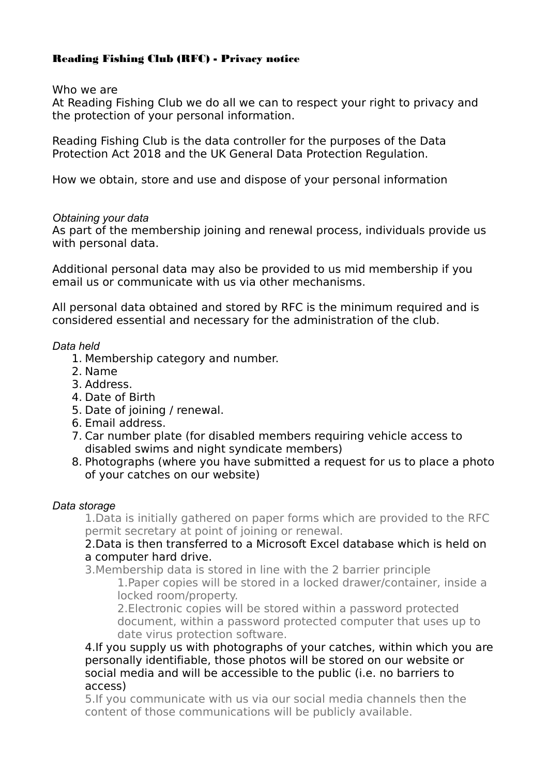# Reading Fishing Club (RFC) - Privacy notice

Who we are

At Reading Fishing Club we do all we can to respect your right to privacy and the protection of your personal information.

Reading Fishing Club is the data controller for the purposes of the Data Protection Act 2018 and the UK General Data Protection Regulation.

How we obtain, store and use and dispose of your personal information

# *Obtaining your data*

As part of the membership joining and renewal process, individuals provide us with personal data.

Additional personal data may also be provided to us mid membership if you email us or communicate with us via other mechanisms.

All personal data obtained and stored by RFC is the minimum required and is considered essential and necessary for the administration of the club.

# *Data held*

- 1. Membership category and number.
- 2. Name
- 3. Address.
- 4. Date of Birth
- 5. Date of joining / renewal.
- 6. Email address.
- 7. Car number plate (for disabled members requiring vehicle access to disabled swims and night syndicate members)
- 8. Photographs (where you have submitted a request for us to place a photo of your catches on our website)

# *Data storage*

1.Data is initially gathered on paper forms which are provided to the RFC permit secretary at point of joining or renewal.

# 2.Data is then transferred to a Microsoft Excel database which is held on a computer hard drive.

3.Membership data is stored in line with the 2 barrier principle 1.Paper copies will be stored in a locked drawer/container, inside a locked room/property.

2.Electronic copies will be stored within a password protected document, within a password protected computer that uses up to date virus protection software.

4.If you supply us with photographs of your catches, within which you are personally identifiable, those photos will be stored on our website or social media and will be accessible to the public (i.e. no barriers to access)

5.If you communicate with us via our social media channels then the content of those communications will be publicly available.